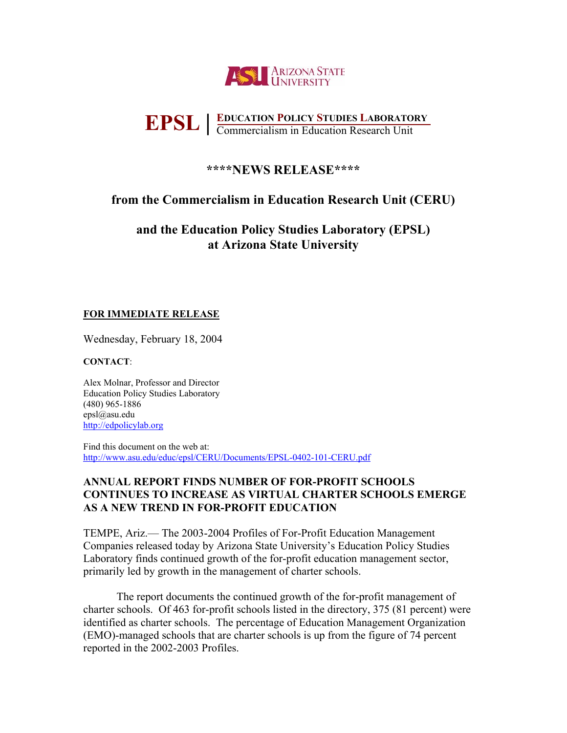

# **EDUCATION POLICY STUDIES LABORATORY EPSL EDUCATION POLICY STUDIES LABORATO**<br> **EPSL E** commercialism in Education Research Unit

# **\*\*\*\*NEWS RELEASE\*\*\*\***

# **from the Commercialism in Education Research Unit (CERU)**

**and the Education Policy Studies Laboratory (EPSL) at Arizona State University** 

## **FOR IMMEDIATE RELEASE**

Wednesday, February 18, 2004

## **CONTACT**:

Alex Molnar, Professor and Director Education Policy Studies Laboratory (480) 965-1886 epsl@asu.edu http://edpolicylab.org

Find this document on the web at: http://www.asu.edu/educ/epsl/CERU/Documents/EPSL-0402-101-CERU.pdf

## **ANNUAL REPORT FINDS NUMBER OF FOR-PROFIT SCHOOLS CONTINUES TO INCREASE AS VIRTUAL CHARTER SCHOOLS EMERGE AS A NEW TREND IN FOR-PROFIT EDUCATION**

TEMPE, Ariz.— The 2003-2004 Profiles of For-Profit Education Management Companies released today by Arizona State University's Education Policy Studies Laboratory finds continued growth of the for-profit education management sector, primarily led by growth in the management of charter schools.

The report documents the continued growth of the for-profit management of charter schools. Of 463 for-profit schools listed in the directory, 375 (81 percent) were identified as charter schools. The percentage of Education Management Organization (EMO)-managed schools that are charter schools is up from the figure of 74 percent reported in the 2002-2003 Profiles.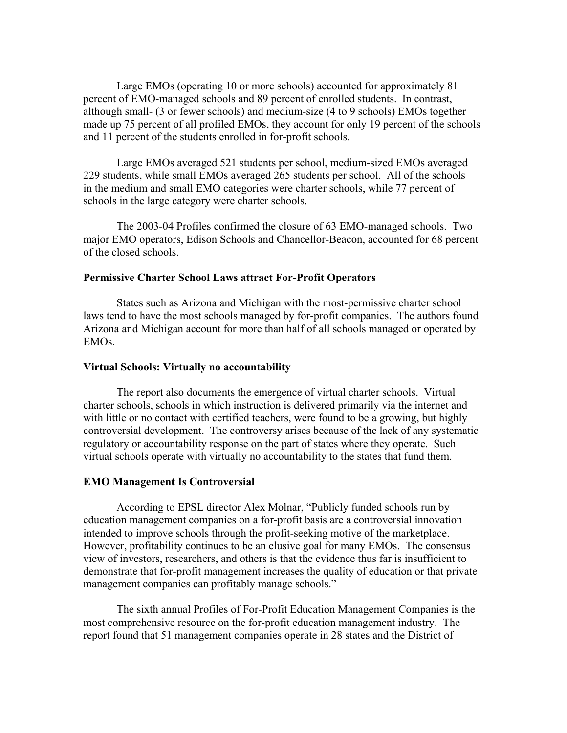Large EMOs (operating 10 or more schools) accounted for approximately 81 percent of EMO-managed schools and 89 percent of enrolled students. In contrast, although small- (3 or fewer schools) and medium-size (4 to 9 schools) EMOs together made up 75 percent of all profiled EMOs, they account for only 19 percent of the schools and 11 percent of the students enrolled in for-profit schools.

Large EMOs averaged 521 students per school, medium-sized EMOs averaged 229 students, while small EMOs averaged 265 students per school. All of the schools in the medium and small EMO categories were charter schools, while 77 percent of schools in the large category were charter schools.

The 2003-04 Profiles confirmed the closure of 63 EMO-managed schools. Two major EMO operators, Edison Schools and Chancellor-Beacon, accounted for 68 percent of the closed schools.

### **Permissive Charter School Laws attract For-Profit Operators**

States such as Arizona and Michigan with the most-permissive charter school laws tend to have the most schools managed by for-profit companies. The authors found Arizona and Michigan account for more than half of all schools managed or operated by EMOs.

#### **Virtual Schools: Virtually no accountability**

The report also documents the emergence of virtual charter schools. Virtual charter schools, schools in which instruction is delivered primarily via the internet and with little or no contact with certified teachers, were found to be a growing, but highly controversial development. The controversy arises because of the lack of any systematic regulatory or accountability response on the part of states where they operate. Such virtual schools operate with virtually no accountability to the states that fund them.

#### **EMO Management Is Controversial**

According to EPSL director Alex Molnar, "Publicly funded schools run by education management companies on a for-profit basis are a controversial innovation intended to improve schools through the profit-seeking motive of the marketplace. However, profitability continues to be an elusive goal for many EMOs. The consensus view of investors, researchers, and others is that the evidence thus far is insufficient to demonstrate that for-profit management increases the quality of education or that private management companies can profitably manage schools."

The sixth annual Profiles of For-Profit Education Management Companies is the most comprehensive resource on the for-profit education management industry. The report found that 51 management companies operate in 28 states and the District of